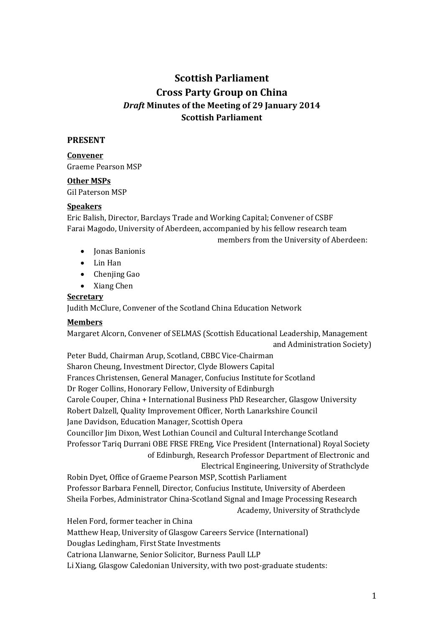# **Scottish Parliament Cross Party Group on China** *Draft* **Minutes of the Meeting of 29 January 2014 Scottish Parliament**

#### **PRESENT**

## **Convener**

Graeme Pearson MSP

#### **Other MSPs**

Gil Paterson MSP

#### **Speakers**

Eric Balish, Director, Barclays Trade and Working Capital; Convener of CSBF Farai Magodo, University of Aberdeen, accompanied by his fellow research team members from the University of Aberdeen:

- Ionas Banionis
- Lin Han
- Chenjing Gao
- Xiang Chen

#### **Secretary**

Judith McClure, Convener of the Scotland China Education Network

## **Members**

Margaret Alcorn, Convener of SELMAS (Scottish Educational Leadership, Management and Administration Society)

Peter Budd, Chairman Arup, Scotland, CBBC Vice-Chairman Sharon Cheung, Investment Director, Clyde Blowers Capital Frances Christensen, General Manager, Confucius Institute for Scotland Dr Roger Collins, Honorary Fellow, University of Edinburgh Carole Couper, China + International Business PhD Researcher, Glasgow University Robert Dalzell, Quality Improvement Officer, North Lanarkshire Council Jane Davidson, Education Manager, Scottish Opera Councillor Jim Dixon, West Lothian Council and Cultural Interchange Scotland Professor Tariq Durrani OBE FRSE FREng, Vice President (International) Royal Society of Edinburgh, Research Professor Department of Electronic and Electrical Engineering, University of Strathclyde Robin Dyet, Office of Graeme Pearson MSP, Scottish Parliament Professor Barbara Fennell, Director, Confucius Institute, University of Aberdeen Sheila Forbes, Administrator China-Scotland Signal and Image Processing Research Academy, University of Strathclyde Helen Ford, former teacher in China Matthew Heap, University of Glasgow Careers Service (International) Douglas Ledingham, First State Investments Catriona Llanwarne, Senior Solicitor, Burness Paull LLP

Li Xiang, Glasgow Caledonian University, with two post-graduate students: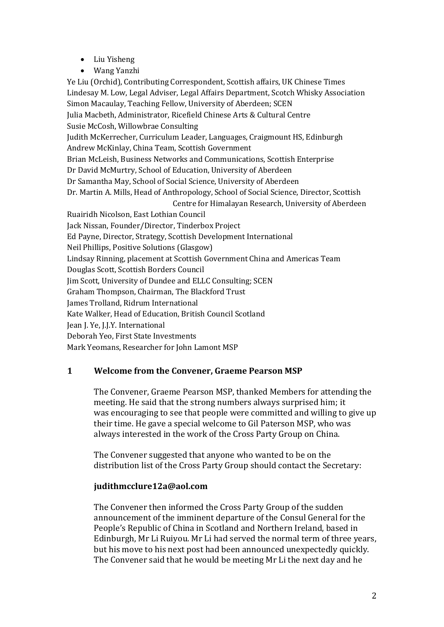- Liu Yisheng
- Wang Yanzhi

Ye Liu (Orchid), Contributing Correspondent, Scottish affairs, UK Chinese Times Lindesay M. Low, Legal Adviser, Legal Affairs Department, Scotch Whisky Association Simon Macaulay, Teaching Fellow, University of Aberdeen; SCEN Julia Macbeth, Administrator, Ricefield Chinese Arts & Cultural Centre Susie McCosh, Willowbrae Consulting Judith McKerrecher, Curriculum Leader, Languages, Craigmount HS, Edinburgh Andrew McKinlay, China Team, Scottish Government Brian McLeish, Business Networks and Communications, Scottish Enterprise Dr David McMurtry, School of Education, University of Aberdeen Dr Samantha May, School of Social Science, University of Aberdeen Dr. Martin A. Mills, Head of Anthropology, School of Social Science, Director, Scottish Centre for Himalayan Research, University of Aberdeen Ruairidh Nicolson, East Lothian Council Jack Nissan, Founder/Director, Tinderbox Project Ed Payne, Director, Strategy, Scottish Development International Neil Phillips, Positive Solutions (Glasgow) Lindsay Rinning, placement at Scottish Government China and Americas Team Douglas Scott, Scottish Borders Council Jim Scott, University of Dundee and ELLC Consulting; SCEN Graham Thompson, Chairman, The Blackford Trust James Trolland, Ridrum International Kate Walker, Head of Education, British Council Scotland Jean J. Ye, J.J.Y. International Deborah Yeo, First State Investments Mark Yeomans, Researcher for John Lamont MSP

## **1 Welcome from the Convener, Graeme Pearson MSP**

The Convener, Graeme Pearson MSP, thanked Members for attending the meeting. He said that the strong numbers always surprised him; it was encouraging to see that people were committed and willing to give up their time. He gave a special welcome to Gil Paterson MSP, who was always interested in the work of the Cross Party Group on China.

The Convener suggested that anyone who wanted to be on the distribution list of the Cross Party Group should contact the Secretary:

## **judithmcclure12a@aol.com**

The Convener then informed the Cross Party Group of the sudden announcement of the imminent departure of the Consul General for the People's Republic of China in Scotland and Northern Ireland, based in Edinburgh, Mr Li Ruiyou. Mr Li had served the normal term of three years, but his move to his next post had been announced unexpectedly quickly. The Convener said that he would be meeting Mr Li the next day and he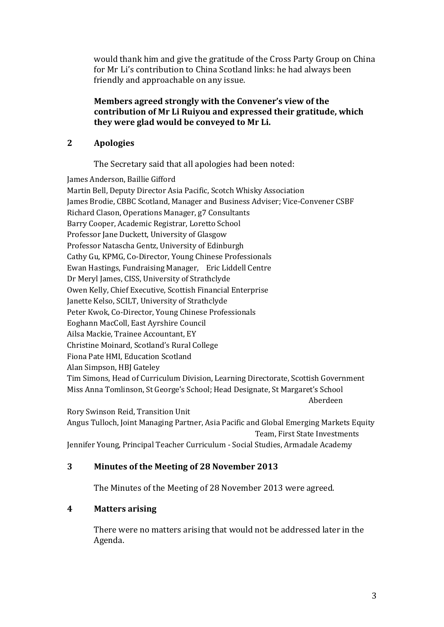would thank him and give the gratitude of the Cross Party Group on China for Mr Li's contribution to China Scotland links: he had always been friendly and approachable on any issue.

## **Members agreed strongly with the Convener's view of the contribution of Mr Li Ruiyou and expressed their gratitude, which they were glad would be conveyed to Mr Li.**

## **2 Apologies**

The Secretary said that all apologies had been noted:

James Anderson, Baillie Gifford Martin Bell, Deputy Director Asia Pacific, Scotch Whisky Association James Brodie, CBBC Scotland, Manager and Business Adviser; Vice-Convener CSBF Richard Clason, Operations Manager, g7 Consultants Barry Cooper, Academic Registrar, Loretto School Professor Jane Duckett, University of Glasgow Professor Natascha Gentz, University of Edinburgh Cathy Gu, KPMG, Co-Director, Young Chinese Professionals Ewan Hastings, Fundraising Manager, Eric Liddell Centre Dr Meryl James, CISS, University of Strathclyde Owen Kelly, Chief Executive, Scottish Financial Enterprise Janette Kelso, SCILT, University of Strathclyde Peter Kwok, Co-Director, Young Chinese Professionals Eoghann MacColl, East Ayrshire Council Ailsa Mackie, Trainee Accountant, EY Christine Moinard, Scotland's Rural College Fiona Pate HMI, Education Scotland Alan Simpson, HBJ Gateley Tim Simons, Head of Curriculum Division, Learning Directorate, Scottish Government Miss Anna Tomlinson, St George's School; Head Designate, St Margaret's School Aberdeen

Rory Swinson Reid, Transition Unit Angus Tulloch, Joint Managing Partner, Asia Pacific and Global Emerging Markets Equity Team, First State Investments Jennifer Young, Principal Teacher Curriculum - Social Studies, Armadale Academy

## **3 Minutes of the Meeting of 28 November 2013**

The Minutes of the Meeting of 28 November 2013 were agreed.

## **4 Matters arising**

There were no matters arising that would not be addressed later in the Agenda.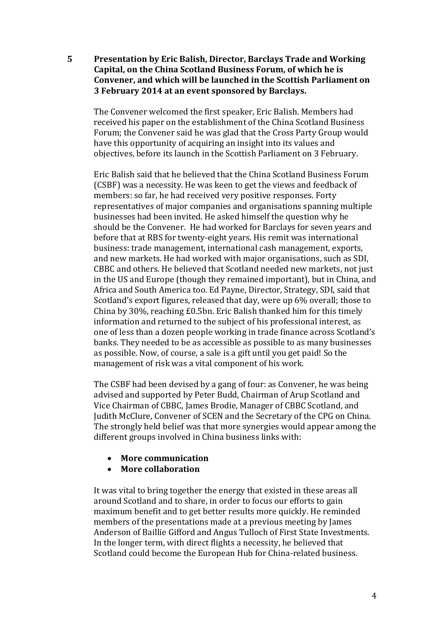**5 Presentation by Eric Balish, Director, Barclays Trade and Working Capital, on the China Scotland Business Forum, of which he is Convener, and which will be launched in the Scottish Parliament on 3 February 2014 at an event sponsored by Barclays.**

The Convener welcomed the first speaker, Eric Balish. Members had received his paper on the establishment of the China Scotland Business Forum; the Convener said he was glad that the Cross Party Group would have this opportunity of acquiring an insight into its values and objectives, before its launch in the Scottish Parliament on 3 February.

Eric Balish said that he believed that the China Scotland Business Forum (CSBF) was a necessity. He was keen to get the views and feedback of members: so far, he had received very positive responses. Forty representatives of major companies and organisations spanning multiple businesses had been invited. He asked himself the question why he should be the Convener. He had worked for Barclays for seven years and before that at RBS for twenty-eight years. His remit was international business: trade management, international cash management, exports, and new markets. He had worked with major organisations, such as SDI, CBBC and others. He believed that Scotland needed new markets, not just in the US and Europe (though they remained important), but in China, and Africa and South America too. Ed Payne, Director, Strategy, SDI, said that Scotland's export figures, released that day, were up 6% overall; those to China by 30%, reaching £0.5bn. Eric Balish thanked him for this timely information and returned to the subject of his professional interest, as one of less than a dozen people working in trade finance across Scotland's banks. They needed to be as accessible as possible to as many businesses as possible. Now, of course, a sale is a gift until you get paid! So the management of risk was a vital component of his work.

The CSBF had been devised by a gang of four: as Convener, he was being advised and supported by Peter Budd, Chairman of Arup Scotland and Vice Chairman of CBBC, James Brodie, Manager of CBBC Scotland, and Judith McClure, Convener of SCEN and the Secretary of the CPG on China. The strongly held belief was that more synergies would appear among the different groups involved in China business links with:

- **More communication**
- **More collaboration**

It was vital to bring together the energy that existed in these areas all around Scotland and to share, in order to focus our efforts to gain maximum benefit and to get better results more quickly. He reminded members of the presentations made at a previous meeting by James Anderson of Baillie Gifford and Angus Tulloch of First State Investments. In the longer term, with direct flights a necessity, he believed that Scotland could become the European Hub for China-related business.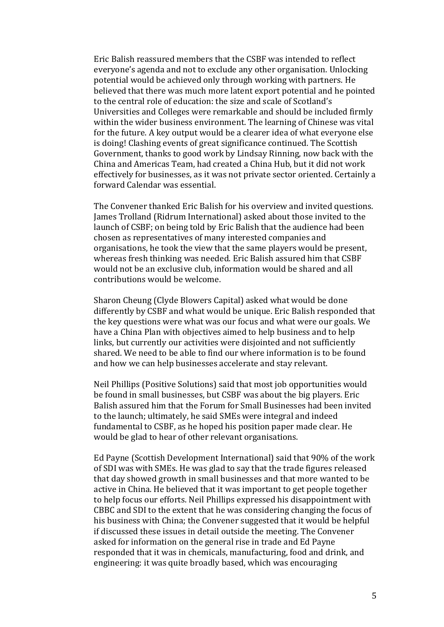Eric Balish reassured members that the CSBF was intended to reflect everyone's agenda and not to exclude any other organisation. Unlocking potential would be achieved only through working with partners. He believed that there was much more latent export potential and he pointed to the central role of education: the size and scale of Scotland's Universities and Colleges were remarkable and should be included firmly within the wider business environment. The learning of Chinese was vital for the future. A key output would be a clearer idea of what everyone else is doing! Clashing events of great significance continued. The Scottish Government, thanks to good work by Lindsay Rinning, now back with the China and Americas Team, had created a China Hub, but it did not work effectively for businesses, as it was not private sector oriented. Certainly a forward Calendar was essential.

The Convener thanked Eric Balish for his overview and invited questions. James Trolland (Ridrum International) asked about those invited to the launch of CSBF; on being told by Eric Balish that the audience had been chosen as representatives of many interested companies and organisations, he took the view that the same players would be present, whereas fresh thinking was needed. Eric Balish assured him that CSBF would not be an exclusive club, information would be shared and all contributions would be welcome.

Sharon Cheung (Clyde Blowers Capital) asked what would be done differently by CSBF and what would be unique. Eric Balish responded that the key questions were what was our focus and what were our goals. We have a China Plan with objectives aimed to help business and to help links, but currently our activities were disjointed and not sufficiently shared. We need to be able to find our where information is to be found and how we can help businesses accelerate and stay relevant.

Neil Phillips (Positive Solutions) said that most job opportunities would be found in small businesses, but CSBF was about the big players. Eric Balish assured him that the Forum for Small Businesses had been invited to the launch; ultimately, he said SMEs were integral and indeed fundamental to CSBF, as he hoped his position paper made clear. He would be glad to hear of other relevant organisations.

Ed Payne (Scottish Development International) said that 90% of the work of SDI was with SMEs. He was glad to say that the trade figures released that day showed growth in small businesses and that more wanted to be active in China. He believed that it was important to get people together to help focus our efforts. Neil Phillips expressed his disappointment with CBBC and SDI to the extent that he was considering changing the focus of his business with China; the Convener suggested that it would be helpful if discussed these issues in detail outside the meeting. The Convener asked for information on the general rise in trade and Ed Payne responded that it was in chemicals, manufacturing, food and drink, and engineering: it was quite broadly based, which was encouraging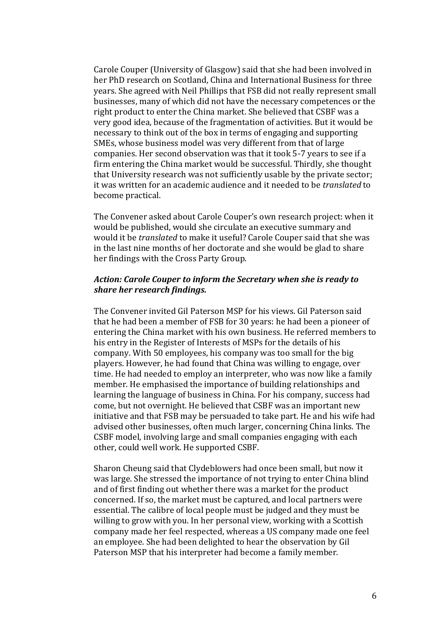Carole Couper (University of Glasgow) said that she had been involved in her PhD research on Scotland, China and International Business for three years. She agreed with Neil Phillips that FSB did not really represent small businesses, many of which did not have the necessary competences or the right product to enter the China market. She believed that CSBF was a very good idea, because of the fragmentation of activities. But it would be necessary to think out of the box in terms of engaging and supporting SMEs, whose business model was very different from that of large companies. Her second observation was that it took 5-7 years to see if a firm entering the China market would be successful. Thirdly, she thought that University research was not sufficiently usable by the private sector; it was written for an academic audience and it needed to be *translated* to become practical.

The Convener asked about Carole Couper's own research project: when it would be published, would she circulate an executive summary and would it be *translated* to make it useful? Carole Couper said that she was in the last nine months of her doctorate and she would be glad to share her findings with the Cross Party Group.

#### *Action: Carole Couper to inform the Secretary when she is ready to share her research findings.*

The Convener invited Gil Paterson MSP for his views. Gil Paterson said that he had been a member of FSB for 30 years: he had been a pioneer of entering the China market with his own business. He referred members to his entry in the Register of Interests of MSPs for the details of his company. With 50 employees, his company was too small for the big players. However, he had found that China was willing to engage, over time. He had needed to employ an interpreter, who was now like a family member. He emphasised the importance of building relationships and learning the language of business in China. For his company, success had come, but not overnight. He believed that CSBF was an important new initiative and that FSB may be persuaded to take part. He and his wife had advised other businesses, often much larger, concerning China links. The CSBF model, involving large and small companies engaging with each other, could well work. He supported CSBF.

Sharon Cheung said that Clydeblowers had once been small, but now it was large. She stressed the importance of not trying to enter China blind and of first finding out whether there was a market for the product concerned. If so, the market must be captured, and local partners were essential. The calibre of local people must be judged and they must be willing to grow with you. In her personal view, working with a Scottish company made her feel respected, whereas a US company made one feel an employee. She had been delighted to hear the observation by Gil Paterson MSP that his interpreter had become a family member.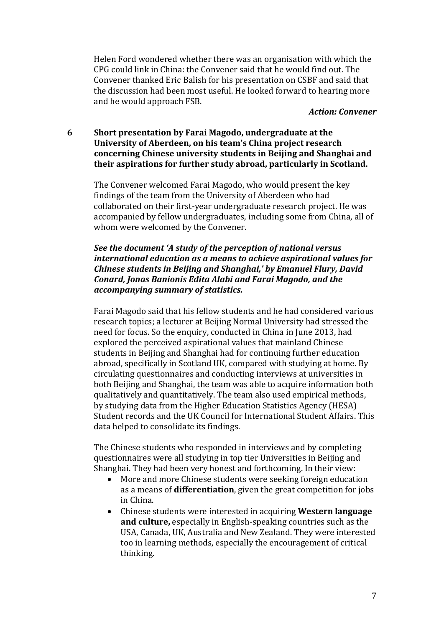Helen Ford wondered whether there was an organisation with which the CPG could link in China: the Convener said that he would find out. The Convener thanked Eric Balish for his presentation on CSBF and said that the discussion had been most useful. He looked forward to hearing more and he would approach FSB.

#### *Action: Convener*

### **6 Short presentation by Farai Magodo, undergraduate at the University of Aberdeen, on his team's China project research concerning Chinese university students in Beijing and Shanghai and their aspirations for further study abroad, particularly in Scotland.**

The Convener welcomed Farai Magodo, who would present the key findings of the team from the University of Aberdeen who had collaborated on their first-year undergraduate research project. He was accompanied by fellow undergraduates, including some from China, all of whom were welcomed by the Convener.

## *See the document 'A study of the perception of national versus international education as a means to achieve aspirational values for Chinese students in Beijing and Shanghai,' by Emanuel Flury, David Conard, Jonas Banionis Edita Alabi and Farai Magodo, and the accompanying summary of statistics.*

Farai Magodo said that his fellow students and he had considered various research topics; a lecturer at Beijing Normal University had stressed the need for focus. So the enquiry, conducted in China in June 2013, had explored the perceived aspirational values that mainland Chinese students in Beijing and Shanghai had for continuing further education abroad, specifically in Scotland UK, compared with studying at home. By circulating questionnaires and conducting interviews at universities in both Beijing and Shanghai, the team was able to acquire information both qualitatively and quantitatively. The team also used empirical methods, by studying data from the Higher Education Statistics Agency (HESA) Student records and the UK Council for International Student Affairs. This data helped to consolidate its findings.

The Chinese students who responded in interviews and by completing questionnaires were all studying in top tier Universities in Beijing and Shanghai. They had been very honest and forthcoming. In their view:

- More and more Chinese students were seeking foreign education as a means of **differentiation**, given the great competition for jobs in China.
- Chinese students were interested in acquiring **Western language and culture,** especially in English-speaking countries such as the USA, Canada, UK, Australia and New Zealand. They were interested too in learning methods, especially the encouragement of critical thinking.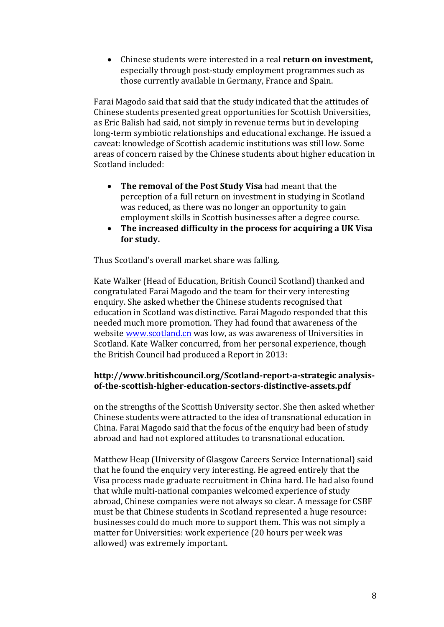Chinese students were interested in a real **return on investment,**  especially through post-study employment programmes such as those currently available in Germany, France and Spain.

Farai Magodo said that said that the study indicated that the attitudes of Chinese students presented great opportunities for Scottish Universities, as Eric Balish had said, not simply in revenue terms but in developing long-term symbiotic relationships and educational exchange. He issued a caveat: knowledge of Scottish academic institutions was still low. Some areas of concern raised by the Chinese students about higher education in Scotland included:

- **The removal of the Post Study Visa** had meant that the perception of a full return on investment in studying in Scotland was reduced, as there was no longer an opportunity to gain employment skills in Scottish businesses after a degree course.
- **The increased difficulty in the process for acquiring a UK Visa for study.**

Thus Scotland's overall market share was falling.

Kate Walker (Head of Education, British Council Scotland) thanked and congratulated Farai Magodo and the team for their very interesting enquiry. She asked whether the Chinese students recognised that education in Scotland was distinctive. Farai Magodo responded that this needed much more promotion. They had found that awareness of the website [www.scotland.cn](http://www.scotland.cn/) was low, as was awareness of Universities in Scotland. Kate Walker concurred, from her personal experience, though the British Council had produced a Report in 2013:

## **http://www.britishcouncil.org/Scotland-report-a-strategic analysisof-the-scottish-higher-education-sectors-distinctive-assets.pdf**

on the strengths of the Scottish University sector. She then asked whether Chinese students were attracted to the idea of transnational education in China. Farai Magodo said that the focus of the enquiry had been of study abroad and had not explored attitudes to transnational education.

Matthew Heap (University of Glasgow Careers Service International) said that he found the enquiry very interesting. He agreed entirely that the Visa process made graduate recruitment in China hard. He had also found that while multi-national companies welcomed experience of study abroad, Chinese companies were not always so clear. A message for CSBF must be that Chinese students in Scotland represented a huge resource: businesses could do much more to support them. This was not simply a matter for Universities: work experience (20 hours per week was allowed) was extremely important.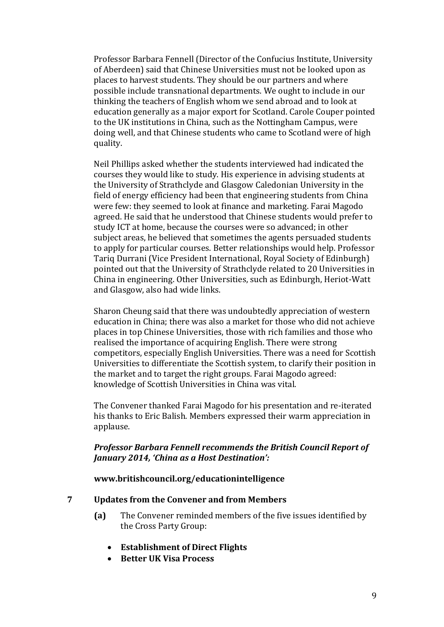Professor Barbara Fennell (Director of the Confucius Institute, University of Aberdeen) said that Chinese Universities must not be looked upon as places to harvest students. They should be our partners and where possible include transnational departments. We ought to include in our thinking the teachers of English whom we send abroad and to look at education generally as a major export for Scotland. Carole Couper pointed to the UK institutions in China, such as the Nottingham Campus, were doing well, and that Chinese students who came to Scotland were of high quality.

Neil Phillips asked whether the students interviewed had indicated the courses they would like to study. His experience in advising students at the University of Strathclyde and Glasgow Caledonian University in the field of energy efficiency had been that engineering students from China were few: they seemed to look at finance and marketing. Farai Magodo agreed. He said that he understood that Chinese students would prefer to study ICT at home, because the courses were so advanced; in other subject areas, he believed that sometimes the agents persuaded students to apply for particular courses. Better relationships would help. Professor Tariq Durrani (Vice President International, Royal Society of Edinburgh) pointed out that the University of Strathclyde related to 20 Universities in China in engineering. Other Universities, such as Edinburgh, Heriot-Watt and Glasgow, also had wide links.

Sharon Cheung said that there was undoubtedly appreciation of western education in China; there was also a market for those who did not achieve places in top Chinese Universities, those with rich families and those who realised the importance of acquiring English. There were strong competitors, especially English Universities. There was a need for Scottish Universities to differentiate the Scottish system, to clarify their position in the market and to target the right groups. Farai Magodo agreed: knowledge of Scottish Universities in China was vital.

The Convener thanked Farai Magodo for his presentation and re-iterated his thanks to Eric Balish. Members expressed their warm appreciation in applause.

## *Professor Barbara Fennell recommends the British Council Report of January 2014, 'China as a Host Destination':*

#### **www.britishcouncil.org/educationintelligence**

#### **7 Updates from the Convener and from Members**

- **(a)** The Convener reminded members of the five issues identified by the Cross Party Group:
	- **Establishment of Direct Flights**
	- **•** Better UK Visa Process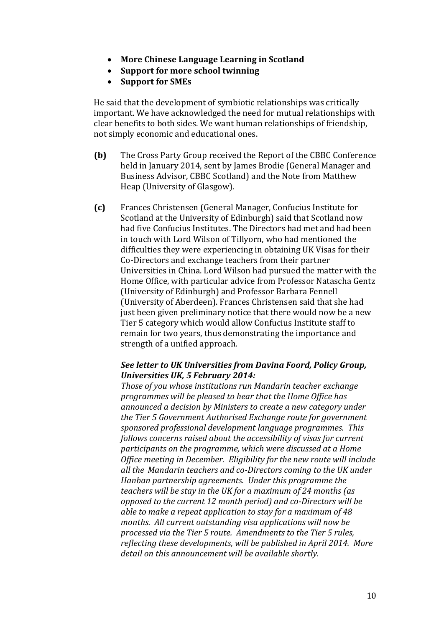- **More Chinese Language Learning in Scotland**
- **Support for more school twinning**
- **Support for SMEs**

He said that the development of symbiotic relationships was critically important. We have acknowledged the need for mutual relationships with clear benefits to both sides. We want human relationships of friendship, not simply economic and educational ones.

- **(b)** The Cross Party Group received the Report of the CBBC Conference held in January 2014, sent by James Brodie (General Manager and Business Advisor, CBBC Scotland) and the Note from Matthew Heap (University of Glasgow).
- **(c)** Frances Christensen (General Manager, Confucius Institute for Scotland at the University of Edinburgh) said that Scotland now had five Confucius Institutes. The Directors had met and had been in touch with Lord Wilson of Tillyorn, who had mentioned the difficulties they were experiencing in obtaining UK Visas for their Co-Directors and exchange teachers from their partner Universities in China. Lord Wilson had pursued the matter with the Home Office, with particular advice from Professor Natascha Gentz (University of Edinburgh) and Professor Barbara Fennell (University of Aberdeen). Frances Christensen said that she had just been given preliminary notice that there would now be a new Tier 5 category which would allow Confucius Institute staff to remain for two years, thus demonstrating the importance and strength of a unified approach.

## *See letter to UK Universities from Davina Foord, Policy Group, Universities UK, 5 February 2014:*

*Those of you whose institutions run Mandarin teacher exchange programmes will be pleased to hear that the Home Office has announced a decision by Ministers to create a new category under the Tier 5 Government Authorised Exchange route for government sponsored professional development language programmes. This follows concerns raised about the accessibility of visas for current participants on the programme, which were discussed at a Home Office meeting in December. Eligibility for the new route will include all the Mandarin teachers and co-Directors coming to the UK under Hanban partnership agreements. Under this programme the teachers will be stay in the UK for a maximum of 24 months (as opposed to the current 12 month period) and co-Directors will be able to make a repeat application to stay for a maximum of 48 months. All current outstanding visa applications will now be processed via the Tier 5 route. Amendments to the Tier 5 rules, reflecting these developments, will be published in April 2014. More detail on this announcement will be available shortly.*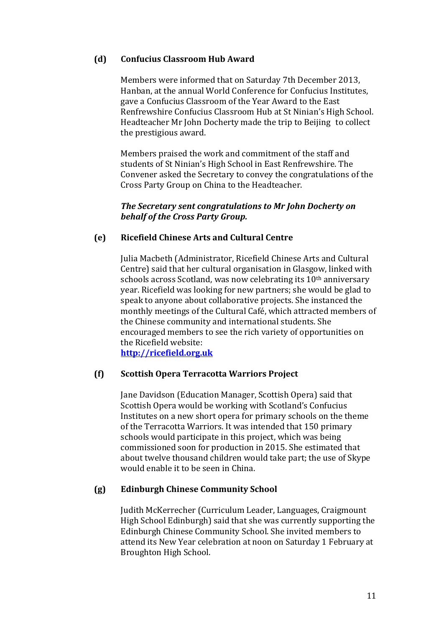## **(d) Confucius Classroom Hub Award**

Members were informed that on Saturday 7th December 2013, Hanban, at the annual World Conference for Confucius Institutes, gave a Confucius Classroom of the Year Award to the East Renfrewshire Confucius Classroom Hub at St Ninian's High School. Headteacher Mr John Docherty made the trip to Beijing to collect the prestigious award.

Members praised the work and commitment of the staff and students of St Ninian's High School in East Renfrewshire. The Convener asked the Secretary to convey the congratulations of the Cross Party Group on China to the Headteacher.

## *The Secretary sent congratulations to Mr John Docherty on behalf of the Cross Party Group.*

## **(e) Ricefield Chinese Arts and Cultural Centre**

Julia Macbeth (Administrator, Ricefield Chinese Arts and Cultural Centre) said that her cultural organisation in Glasgow, linked with schools across Scotland, was now celebrating its 10<sup>th</sup> anniversary year. Ricefield was looking for new partners; she would be glad to speak to anyone about collaborative projects. She instanced the monthly meetings of the Cultural Café, which attracted members of the Chinese community and international students. She encouraged members to see the rich variety of opportunities on the Ricefield website:

**[http://ricefield.org.uk](http://ricefield.org.uk/)**

## **(f) Scottish Opera Terracotta Warriors Project**

Jane Davidson (Education Manager, Scottish Opera) said that Scottish Opera would be working with Scotland's Confucius Institutes on a new short opera for primary schools on the theme of the Terracotta Warriors. It was intended that 150 primary schools would participate in this project, which was being commissioned soon for production in 2015. She estimated that about twelve thousand children would take part; the use of Skype would enable it to be seen in China.

## **(g) Edinburgh Chinese Community School**

Judith McKerrecher (Curriculum Leader, Languages, Craigmount High School Edinburgh) said that she was currently supporting the Edinburgh Chinese Community School. She invited members to attend its New Year celebration at noon on Saturday 1 February at Broughton High School.